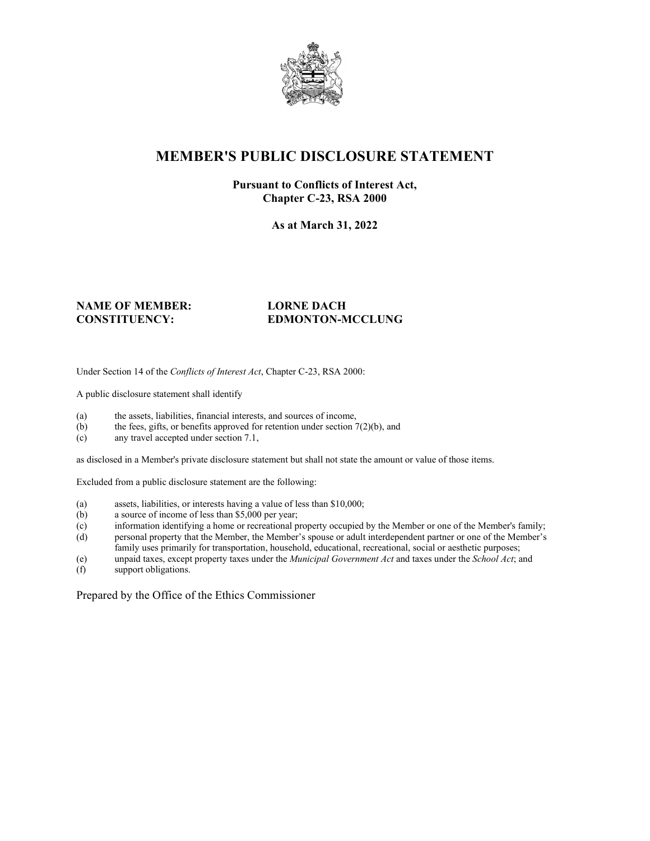

### **MEMBER'S PUBLIC DISCLOSURE STATEMENT**

#### **Pursuant to Conflicts of Interest Act, Chapter C-23, RSA 2000**

**As at March 31, 2022**

## **NAME OF MEMBER: LORNE DACH**

# **CONSTITUENCY: EDMONTON-MCCLUNG**

Under Section 14 of the *Conflicts of Interest Act*, Chapter C-23, RSA 2000:

A public disclosure statement shall identify

- (a) the assets, liabilities, financial interests, and sources of income,<br>(b) the fees, gifts, or benefits approved for retention under section 7
- the fees, gifts, or benefits approved for retention under section  $7(2)(b)$ , and
- (c) any travel accepted under section 7.1,

as disclosed in a Member's private disclosure statement but shall not state the amount or value of those items.

Excluded from a public disclosure statement are the following:

- (a) assets, liabilities, or interests having a value of less than \$10,000;
- (b) a source of income of less than \$5,000 per year;
- (c) information identifying a home or recreational property occupied by the Member or one of the Member's family;
- (d) personal property that the Member, the Member's spouse or adult interdependent partner or one of the Member's family uses primarily for transportation, household, educational, recreational, social or aesthetic purposes;
- (e) unpaid taxes, except property taxes under the *Municipal Government Act* and taxes under the *School Act*; and
- support obligations.

Prepared by the Office of the Ethics Commissioner